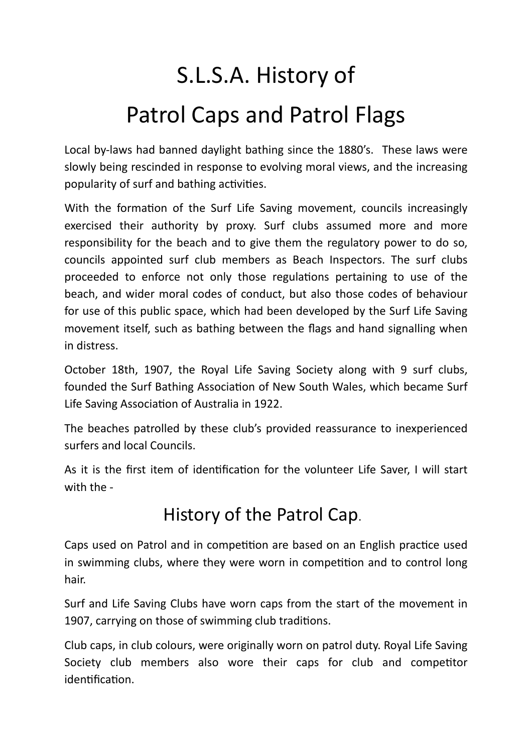## S.L.S.A. History of Patrol Caps and Patrol Flags

Local by-laws had banned daylight bathing since the 1880's. These laws were slowly being rescinded in response to evolving moral views, and the increasing popularity of surf and bathing activities.

With the formation of the Surf Life Saving movement, councils increasingly exercised their authority by proxy. Surf clubs assumed more and more responsibility for the beach and to give them the regulatory power to do so, councils appointed surf club members as Beach Inspectors. The surf clubs proceeded to enforce not only those regulations pertaining to use of the beach, and wider moral codes of conduct, but also those codes of behaviour for use of this public space, which had been developed by the Surf Life Saving movement itself, such as bathing between the flags and hand signalling when in distress.

October 18th, 1907, the Royal Life Saving Society along with 9 surf clubs, founded the Surf Bathing Association of New South Wales, which became Surf Life Saving Association of Australia in 1922.

The beaches patrolled by these club's provided reassurance to inexperienced surfers and local Councils.

As it is the first item of identification for the volunteer Life Saver, I will start with the -

## History of the Patrol Cap.

Caps used on Patrol and in competition are based on an English practice used in swimming clubs, where they were worn in competition and to control long hair.

Surf and Life Saving Clubs have worn caps from the start of the movement in 1907, carrying on those of swimming club traditions.

Club caps, in club colours, were originally worn on patrol duty. Royal Life Saving Society club members also wore their caps for club and competitor identification.